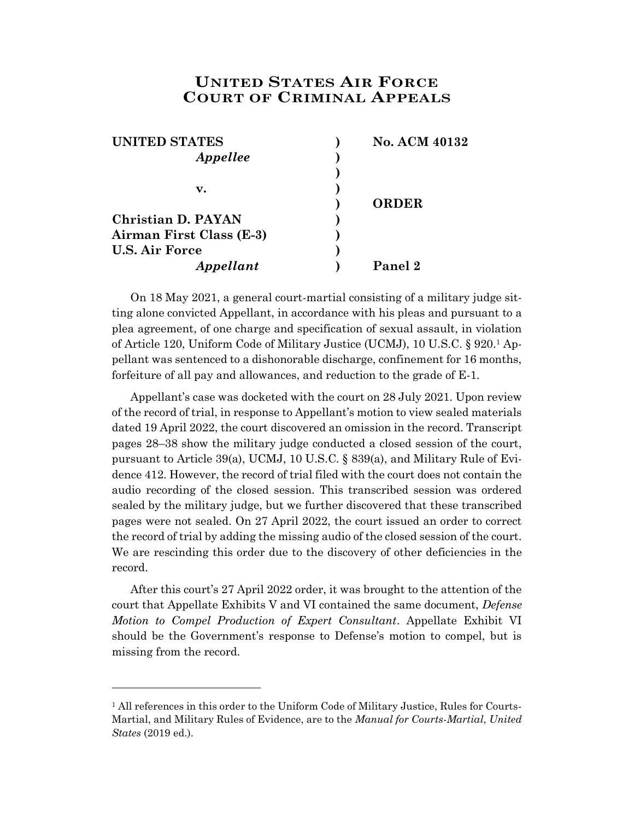## **UNITED STATES AIR FORCE COURT OF CRIMINAL APPEALS**

| <b>UNITED STATES</b>     | <b>No. ACM 40132</b> |
|--------------------------|----------------------|
| Appellee                 |                      |
|                          |                      |
| v.                       |                      |
|                          | <b>ORDER</b>         |
| Christian D. PAYAN       |                      |
| Airman First Class (E-3) |                      |
| <b>U.S. Air Force</b>    |                      |
| Appellant                | Panel 2              |

On 18 May 2021, a general court-martial consisting of a military judge sitting alone convicted Appellant, in accordance with his pleas and pursuant to a plea agreement, of one charge and specification of sexual assault, in violation of Article 120, Uniform Code of Military Justice (UCMJ), 10 U.S.C. § 920.<sup>1</sup> Appellant was sentenced to a dishonorable discharge, confinement for 16 months, forfeiture of all pay and allowances, and reduction to the grade of E-1.

Appellant's case was docketed with the court on 28 July 2021. Upon review of the record of trial, in response to Appellant's motion to view sealed materials dated 19 April 2022, the court discovered an omission in the record. Transcript pages 28–38 show the military judge conducted a closed session of the court, pursuant to Article 39(a), UCMJ, 10 U.S.C. § 839(a), and Military Rule of Evidence 412. However, the record of trial filed with the court does not contain the audio recording of the closed session. This transcribed session was ordered sealed by the military judge, but we further discovered that these transcribed pages were not sealed. On 27 April 2022, the court issued an order to correct the record of trial by adding the missing audio of the closed session of the court. We are rescinding this order due to the discovery of other deficiencies in the record.

After this court's 27 April 2022 order, it was brought to the attention of the court that Appellate Exhibits V and VI contained the same document, *Defense Motion to Compel Production of Expert Consultant*. Appellate Exhibit VI should be the Government's response to Defense's motion to compel, but is missing from the record.

l

<sup>&</sup>lt;sup>1</sup> All references in this order to the Uniform Code of Military Justice, Rules for Courts-Martial, and Military Rules of Evidence, are to the *Manual for Courts-Martial*, *United States* (2019 ed.).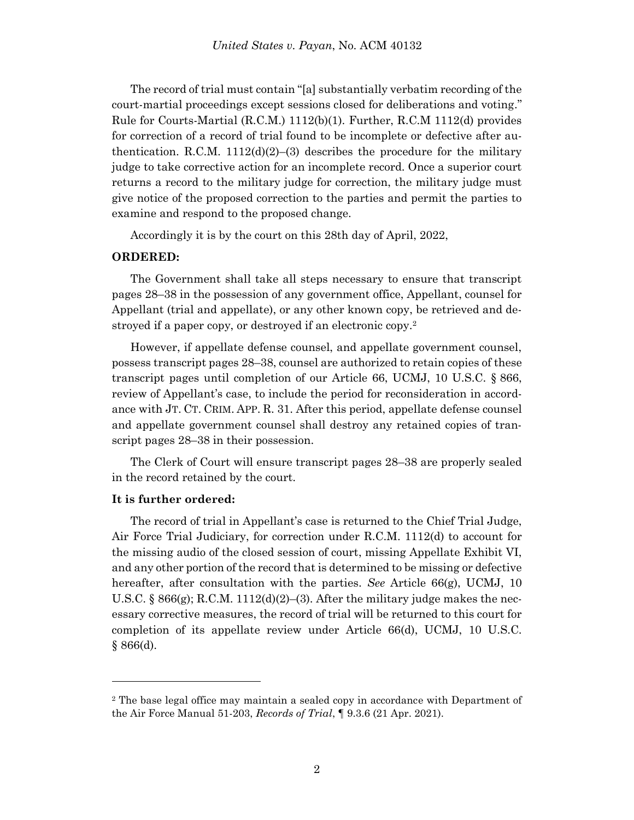The record of trial must contain "[a] substantially verbatim recording of the court-martial proceedings except sessions closed for deliberations and voting." Rule for Courts-Martial (R.C.M.) 1112(b)(1). Further, R.C.M 1112(d) provides for correction of a record of trial found to be incomplete or defective after authentication. R.C.M. 1112(d)(2)–(3) describes the procedure for the military judge to take corrective action for an incomplete record. Once a superior court returns a record to the military judge for correction, the military judge must give notice of the proposed correction to the parties and permit the parties to examine and respond to the proposed change.

Accordingly it is by the court on this 28th day of April, 2022,

## **ORDERED:**

The Government shall take all steps necessary to ensure that transcript pages 28–38 in the possession of any government office, Appellant, counsel for Appellant (trial and appellate), or any other known copy, be retrieved and destroyed if a paper copy, or destroyed if an electronic copy.<sup>2</sup>

However, if appellate defense counsel, and appellate government counsel, possess transcript pages 28–38, counsel are authorized to retain copies of these transcript pages until completion of our Article 66, UCMJ, 10 U.S.C. § 866, review of Appellant's case, to include the period for reconsideration in accordance with JT. CT. CRIM. APP. R. 31. After this period, appellate defense counsel and appellate government counsel shall destroy any retained copies of transcript pages 28–38 in their possession.

The Clerk of Court will ensure transcript pages 28–38 are properly sealed in the record retained by the court.

## **It is further ordered:**

l

The record of trial in Appellant's case is returned to the Chief Trial Judge, Air Force Trial Judiciary, for correction under R.C.M. 1112(d) to account for the missing audio of the closed session of court, missing Appellate Exhibit VI, and any other portion of the record that is determined to be missing or defective hereafter, after consultation with the parties. *See* [Article 66\(g\), UCMJ,](https://advance.lexis.com/document/?pdmfid=1000516&crid=3088a0bc-de35-4d39-b733-83bdf52f3141&pddocfullpath=%2Fshared%2Fdocument%2Fcases%2Furn%3AcontentItem%3A5Y28-5FN1-FJDY-X0TD-00000-00&pdcontentcomponentid=7814&pdshepid=urn%3AcontentItem%3A5Y13-98S1-DXC8-755H-00000-00&pdteaserkey=sr0&pditab=allpods&ecomp=gxdsk&earg=sr0&prid=90b8d4c5-c62f-4eb2-9532-51ad2389862a) [10](https://advance.lexis.com/document/?pdmfid=1000516&crid=3088a0bc-de35-4d39-b733-83bdf52f3141&pddocfullpath=%2Fshared%2Fdocument%2Fcases%2Furn%3AcontentItem%3A5Y28-5FN1-FJDY-X0TD-00000-00&pdcontentcomponentid=7814&pdshepid=urn%3AcontentItem%3A5Y13-98S1-DXC8-755H-00000-00&pdteaserkey=sr0&pditab=allpods&ecomp=gxdsk&earg=sr0&prid=90b8d4c5-c62f-4eb2-9532-51ad2389862a)  [U.S.C. §](https://advance.lexis.com/document/?pdmfid=1000516&crid=3088a0bc-de35-4d39-b733-83bdf52f3141&pddocfullpath=%2Fshared%2Fdocument%2Fcases%2Furn%3AcontentItem%3A5Y28-5FN1-FJDY-X0TD-00000-00&pdcontentcomponentid=7814&pdshepid=urn%3AcontentItem%3A5Y13-98S1-DXC8-755H-00000-00&pdteaserkey=sr0&pditab=allpods&ecomp=gxdsk&earg=sr0&prid=90b8d4c5-c62f-4eb2-9532-51ad2389862a)  $866(g)$ ; R.C.M. 1112(d)(2)–(3). After the military judge makes the necessary corrective measures, the record of trial will be returned to this court for completion of its appellate review under Article 66(d), UCMJ, 10 U.S.C.  $§ 866(d).$ 

<sup>2</sup> The base legal office may maintain a sealed copy in accordance with Department of the Air Force Manual 51-203, *Records of Trial*, ¶ 9.3.6 (21 Apr. 2021).